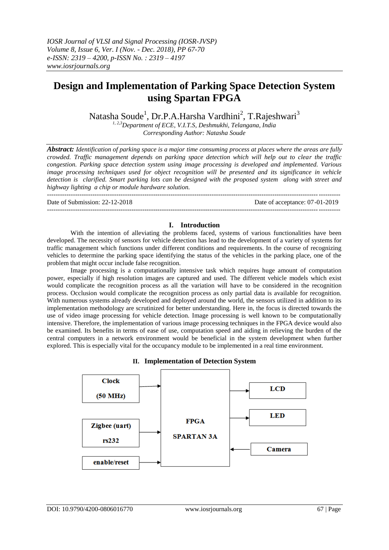# **Design and Implementation of Parking Space Detection System using Spartan FPGA**

Natasha Soude<sup>1</sup>, Dr.P.A.Harsha Vardhini<sup>2</sup>, T.Rajeshwari<sup>3</sup>

*1, 2,3Department of ECE, V.I.T.S, Deshmukhi, Telangana, India Corresponding Author: Natasha Soude*

*Abstract: Identification of parking space is a major time consuming process at places where the areas are fully crowded. Traffic management depends on parking space detection which will help out to clear the traffic congestion. Parking space detection system using image processing is developed and implemented. Various image processing techniques used for object recognition will be presented and its significance in vehicle detection is clarified. Smart parking lots can be designed with the proposed system along with street and highway lighting a chip or module hardware solution.* 

--------------------------------------------------------------------------------------------------------------------------------------- Date of Submission: 22-12-2018 Date of acceptance: 07-01-2019

---------------------------------------------------------------------------------------------------------------------------------------

#### **I. Introduction**

With the intention of alleviating the problems faced, systems of various functionalities have been developed. The necessity of sensors for vehicle detection has lead to the development of a variety of systems for traffic management which functions under different conditions and requirements. In the course of recognizing vehicles to determine the parking space identifying the status of the vehicles in the parking place, one of the problem that might occur include false recognition.

Image processing is a computationally intensive task which requires huge amount of computation power, especially if high resolution images are captured and used. The different vehicle models which exist would complicate the recognition process as all the variation will have to be considered in the recognition process. Occlusion would complicate the recognition process as only partial data is available for recognition. With numerous systems already developed and deployed around the world, the sensors utilized in addition to its implementation methodology are scrutinized for better understanding. Here in, the focus is directed towards the use of video image processing for vehicle detection. Image processing is well known to be computationally intensive. Therefore, the implementation of various image processing techniques in the FPGA device would also be examined. Its benefits in terms of ease of use, computation speed and aiding in relieving the burden of the central computers in a network environment would be beneficial in the system development when further explored. This is especially vital for the occupancy module to be implemented in a real time environment.



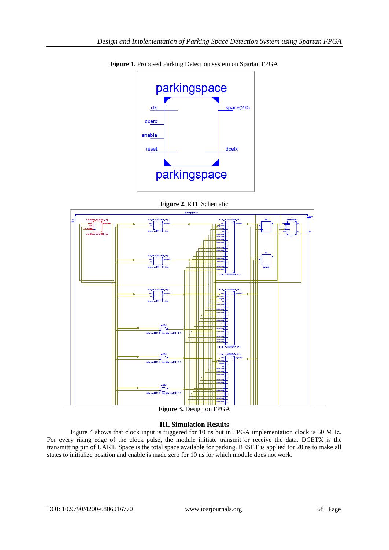

**Figure 1**. Proposed Parking Detection system on Spartan FPGA





**Figure 3.** Design on FPGA

### **III. Simulation Results**

Figure 4 shows that clock input is triggered for 10 ns but in FPGA implementation clock is 50 MHz. For every rising edge of the clock pulse, the module initiate transmit or receive the data. DCETX is the transmitting pin of UART. Space is the total space available for parking. RESET is applied for 20 ns to make all states to initialize position and enable is made zero for 10 ns for which module does not work.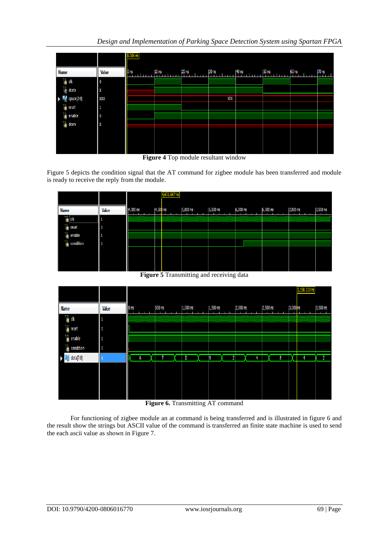*Design and Implementation of Parking Space Detection System using Spartan FPGA*

|                             |                | $0.006$ ns      |                  |          |                   |        |                  |       |              |
|-----------------------------|----------------|-----------------|------------------|----------|-------------------|--------|------------------|-------|--------------|
| <b>Name</b>                 | Value          | 0 <sub>ns</sub> | 10 <sub>ns</sub> | $ 20$ ns | $ 30 \text{ ns} $ | 140 ns | 50 <sub>ns</sub> | 60 ns | <b>70 ns</b> |
| $\frac{1}{10}$ clk          | $\overline{0}$ |                 |                  |          |                   |        |                  |       |              |
| $\mathbb{U}_0$ dcetx        | X              |                 |                  |          |                   |        |                  |       |              |
| $\blacksquare$ space[2:0]   | XXX            |                 |                  |          | XXX               |        |                  |       |              |
| <b>L</b> <sub>o</sub> reset | -1             |                 |                  |          |                   |        |                  |       |              |
| l <sub>o</sub> enable       | ۱٥             |                 |                  |          |                   |        |                  |       |              |
| <b>I</b> <sub>o</sub> dcerx | X              |                 |                  |          |                   |        |                  |       |              |
|                             |                |                 |                  |          |                   |        |                  |       |              |
|                             |                |                 |                  |          |                   |        |                  |       |              |
|                             |                |                 |                  |          |                   |        |                  |       |              |



Figure 5 depicts the condition signal that the AT command for zigbee module has been transferred and module is ready to receive the reply from the module.

|                                                   |              |                                                                                            |           | 4,631.667 ns                                     |          |                              |                     |          |          |                                            |
|---------------------------------------------------|--------------|--------------------------------------------------------------------------------------------|-----------|--------------------------------------------------|----------|------------------------------|---------------------|----------|----------|--------------------------------------------|
| <b>Name</b>                                       | <b>Value</b> | 14,000 ns                                                                                  | 14,500 ns |                                                  | 5,000 ns | 5,500 ns                     | 6,000 ns            | 6,500 ns | 7,000 ns | 7,500 ns                                   |
| ----------------------------------                | ш            | ,,,,,,,,,,,,,,,,,,,,,,,<br>www.www.www.ww<br>,,,,,,,,,,,,,,,,,,,,,,,,,,,<br>www.www.www.ww |           | ,,,,,,,,,,,,,,,,,<br>*************<br>www.www.ww |          | www.www.ww<br>www.www.www.ww | ~~~~~~~~~~~~~~~~~~~ |          |          | <b>MARKET MARKET STATE</b><br>000000000000 |
| reset                                             |              |                                                                                            |           |                                                  |          |                              |                     |          |          |                                            |
| $\frac{1}{10}$ enable<br>$\frac{1}{10}$ condition | ч            |                                                                                            |           |                                                  |          |                              |                     |          |          |                                            |
|                                                   | 10           |                                                                                            |           |                                                  |          |                              |                     |          |          |                                            |
|                                                   |              |                                                                                            |           |                                                  |          |                              |                     |          |          |                                            |
|                                                   |              |                                                                                            |           |                                                  |          |                              |                     |          |          |                                            |
|                                                   |              |                                                                                            |           |                                                  |          |                              |                     |          |          |                                            |

**Figure 5** Transmitting and receiving data

| 3,000 <mark>ns</mark><br>3,500 ns<br>$ 1,500$ ns<br>2,000 ns<br>2,500 ns |
|--------------------------------------------------------------------------|
|                                                                          |
|                                                                          |
|                                                                          |
|                                                                          |
| $\overline{2}$<br>8<br>2<br>4<br>4                                       |
|                                                                          |
|                                                                          |
|                                                                          |
|                                                                          |

**Figure 6.** Transmitting AT command

For functioning of zigbee module an at command is being transferred and is illustrated in figure 6 and the result show the strings but ASCII value of the command is transferred an finite state machine is used to send the each ascii value as shown in Figure 7.